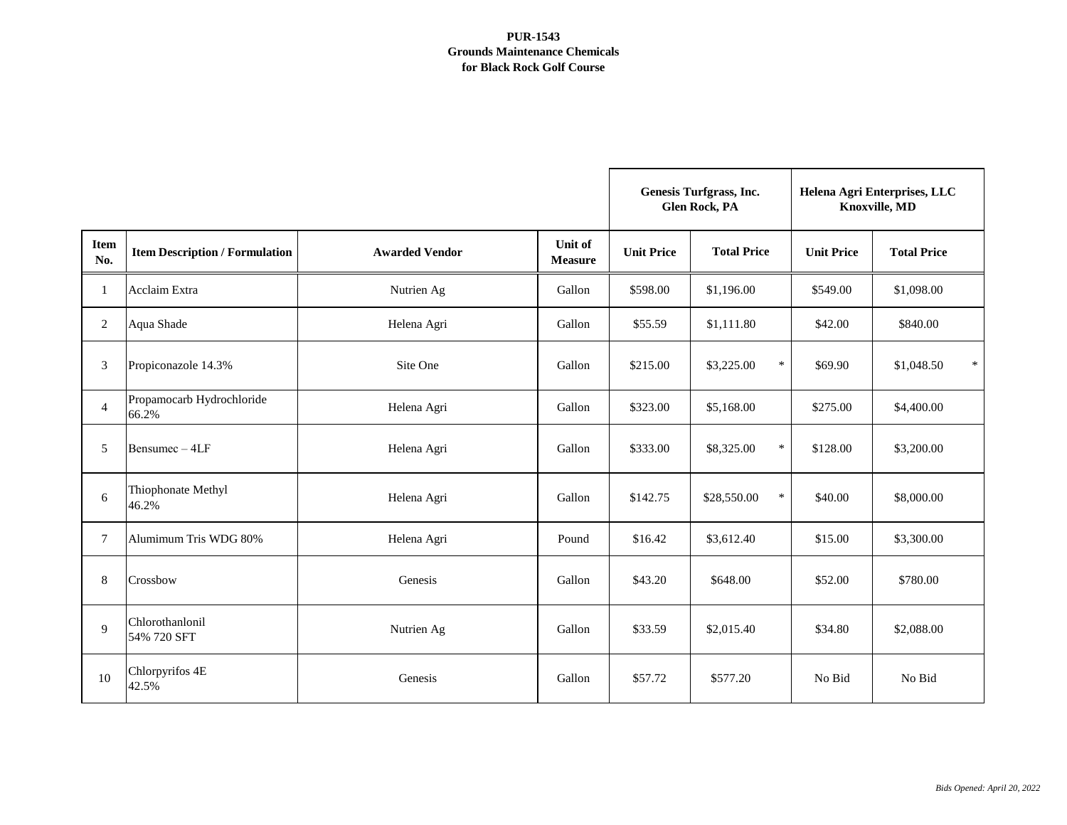|                    |                                       |                       |                                  | <b>Genesis Turfgrass, Inc.</b><br><b>Glen Rock, PA</b> |                       | Helena Agri Enterprises, LLC<br>Knoxville, MD |                      |
|--------------------|---------------------------------------|-----------------------|----------------------------------|--------------------------------------------------------|-----------------------|-----------------------------------------------|----------------------|
| <b>Item</b><br>No. | <b>Item Description / Formulation</b> | <b>Awarded Vendor</b> | <b>Unit of</b><br><b>Measure</b> | <b>Unit Price</b>                                      | <b>Total Price</b>    | <b>Unit Price</b>                             | <b>Total Price</b>   |
| 1                  | Acclaim Extra                         | Nutrien Ag            | Gallon                           | \$598.00                                               | \$1,196.00            | \$549.00                                      | \$1,098.00           |
| $\overline{2}$     | Aqua Shade                            | Helena Agri           | Gallon                           | \$55.59                                                | \$1,111.80            | \$42.00                                       | \$840.00             |
| 3                  | Propiconazole 14.3%                   | Site One              | Gallon                           | \$215.00                                               | $\ast$<br>\$3,225.00  | \$69.90                                       | $\ast$<br>\$1,048.50 |
| $\overline{4}$     | Propamocarb Hydrochloride<br>66.2%    | Helena Agri           | Gallon                           | \$323.00                                               | \$5,168.00            | \$275.00                                      | \$4,400.00           |
| 5                  | Bensumec-4LF                          | Helena Agri           | Gallon                           | \$333.00                                               | $\ast$<br>\$8,325.00  | \$128.00                                      | \$3,200.00           |
| 6                  | Thiophonate Methyl<br>46.2%           | Helena Agri           | Gallon                           | \$142.75                                               | $\ast$<br>\$28,550.00 | \$40.00                                       | \$8,000.00           |
| $\tau$             | Alumimum Tris WDG 80%                 | Helena Agri           | Pound                            | \$16.42                                                | \$3,612.40            | \$15.00                                       | \$3,300.00           |
| 8                  | Crossbow                              | Genesis               | Gallon                           | \$43.20                                                | \$648.00              | \$52.00                                       | \$780.00             |
| 9                  | Chlorothanlonil<br>54% 720 SFT        | Nutrien Ag            | Gallon                           | \$33.59                                                | \$2,015.40            | \$34.80                                       | \$2,088.00           |
| 10                 | Chlorpyrifos 4E<br>42.5%              | Genesis               | Gallon                           | \$57.72                                                | \$577.20              | No Bid                                        | No Bid               |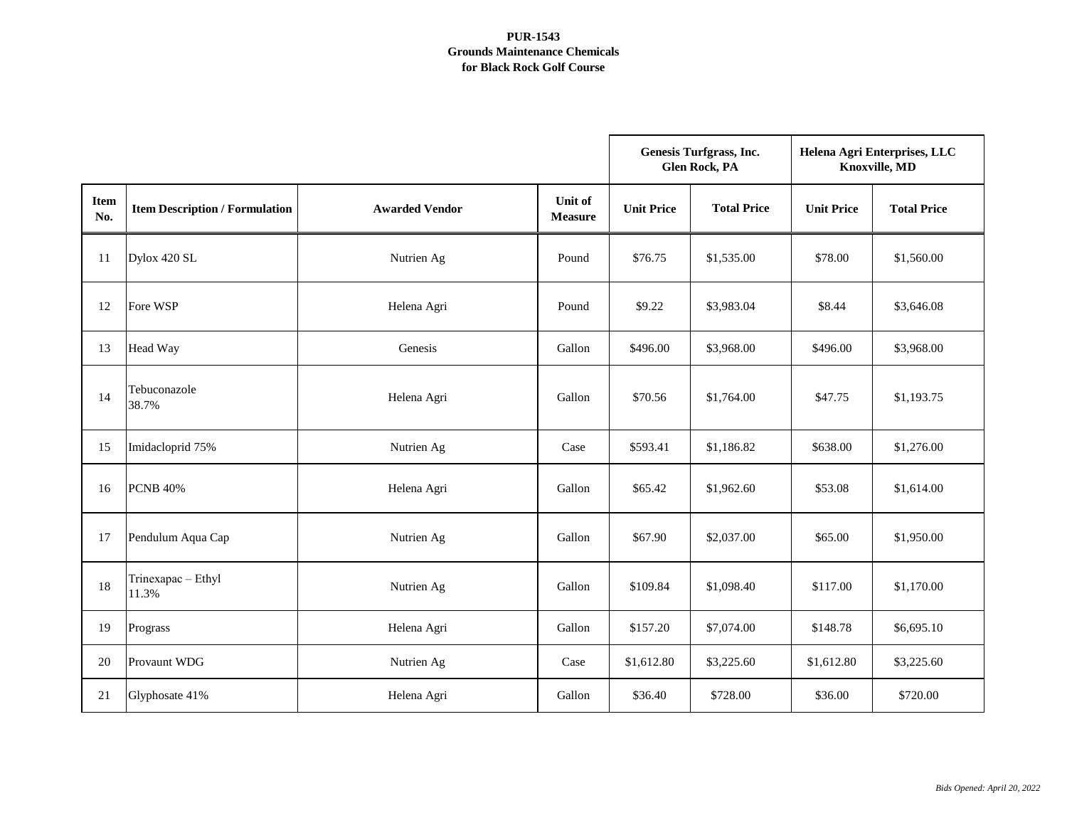|                    |                                       |                       |                           | <b>Genesis Turfgrass, Inc.</b><br><b>Glen Rock, PA</b> |                    | Helena Agri Enterprises, LLC<br>Knoxville, MD |                    |
|--------------------|---------------------------------------|-----------------------|---------------------------|--------------------------------------------------------|--------------------|-----------------------------------------------|--------------------|
| <b>Item</b><br>No. | <b>Item Description / Formulation</b> | <b>Awarded Vendor</b> | Unit of<br><b>Measure</b> | <b>Unit Price</b>                                      | <b>Total Price</b> | <b>Unit Price</b>                             | <b>Total Price</b> |
| 11                 | Dylox 420 SL                          | Nutrien Ag            | Pound                     | \$76.75                                                | \$1,535.00         | \$78.00                                       | \$1,560.00         |
| 12                 | Fore WSP                              | Helena Agri           | Pound                     | \$9.22                                                 | \$3,983.04         | \$8.44                                        | \$3,646.08         |
| 13                 | Head Way                              | Genesis               | Gallon                    | \$496.00                                               | \$3,968.00         | \$496.00                                      | \$3,968.00         |
| 14                 | Tebuconazole<br>38.7%                 | Helena Agri           | Gallon                    | \$70.56                                                | \$1,764.00         | \$47.75                                       | \$1,193.75         |
| 15                 | Imidacloprid 75%                      | Nutrien Ag            | Case                      | \$593.41                                               | \$1,186.82         | \$638.00                                      | \$1,276.00         |
| 16                 | <b>PCNB 40%</b>                       | Helena Agri           | Gallon                    | \$65.42                                                | \$1,962.60         | \$53.08                                       | \$1,614.00         |
| 17                 | Pendulum Aqua Cap                     | Nutrien Ag            | Gallon                    | \$67.90                                                | \$2,037.00         | \$65.00                                       | \$1,950.00         |
| 18                 | Trinexapac - Ethyl<br>11.3%           | Nutrien Ag            | Gallon                    | \$109.84                                               | \$1,098.40         | \$117.00                                      | \$1,170.00         |
| 19                 | Prograss                              | Helena Agri           | Gallon                    | \$157.20                                               | \$7,074.00         | \$148.78                                      | \$6,695.10         |
| 20                 | <b>Provaunt WDG</b>                   | Nutrien Ag            | Case                      | \$1,612.80                                             | \$3,225.60         | \$1,612.80                                    | \$3,225.60         |
| 21                 | Glyphosate 41%                        | Helena Agri           | Gallon                    | \$36.40                                                | \$728.00           | \$36.00                                       | \$720.00           |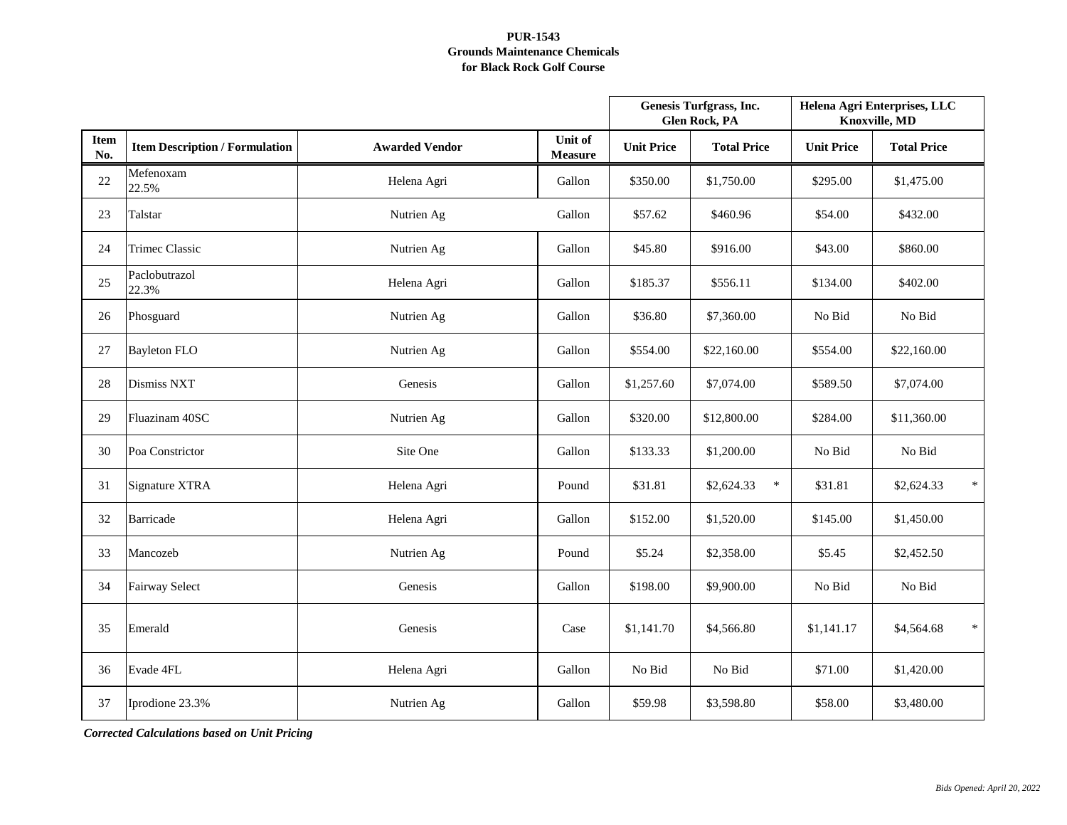|                    |                                       |                       |                                  | Genesis Turfgrass, Inc.<br><b>Glen Rock, PA</b> |                      | Helena Agri Enterprises, LLC<br><b>Knoxville, MD</b> |                      |
|--------------------|---------------------------------------|-----------------------|----------------------------------|-------------------------------------------------|----------------------|------------------------------------------------------|----------------------|
| <b>Item</b><br>No. | <b>Item Description / Formulation</b> | <b>Awarded Vendor</b> | <b>Unit of</b><br><b>Measure</b> | <b>Unit Price</b>                               | <b>Total Price</b>   | <b>Unit Price</b>                                    | <b>Total Price</b>   |
| 22                 | Mefenoxam<br>22.5%                    | Helena Agri           | Gallon                           | \$350.00                                        | \$1,750.00           | \$295.00                                             | \$1,475.00           |
| 23                 | Talstar                               | Nutrien Ag            | Gallon                           | \$57.62                                         | \$460.96             | \$54.00                                              | \$432.00             |
| 24                 | <b>Trimec Classic</b>                 | Nutrien Ag            | Gallon                           | \$45.80                                         | \$916.00             | \$43.00                                              | \$860.00             |
| 25                 | Paclobutrazol<br>22.3%                | Helena Agri           | Gallon                           | \$185.37                                        | \$556.11             | \$134.00                                             | \$402.00             |
| 26                 | Phosguard                             | Nutrien Ag            | Gallon                           | \$36.80                                         | \$7,360.00           | No Bid                                               | No Bid               |
| 27                 | <b>Bayleton FLO</b>                   | Nutrien Ag            | Gallon                           | \$554.00                                        | \$22,160.00          | \$554.00                                             | \$22,160.00          |
| 28                 | Dismiss NXT                           | Genesis               | Gallon                           | \$1,257.60                                      | \$7,074.00           | \$589.50                                             | \$7,074.00           |
| 29                 | Fluazinam 40SC                        | Nutrien Ag            | Gallon                           | \$320.00                                        | \$12,800.00          | \$284.00                                             | \$11,360.00          |
| 30                 | Poa Constrictor                       | Site One              | Gallon                           | \$133.33                                        | \$1,200.00           | No Bid                                               | No Bid               |
| 31                 | Signature XTRA                        | Helena Agri           | Pound                            | \$31.81                                         | $\ast$<br>\$2,624.33 | \$31.81                                              | $\ast$<br>\$2,624.33 |
| 32                 | Barricade                             | Helena Agri           | Gallon                           | \$152.00                                        | \$1,520.00           | \$145.00                                             | \$1,450.00           |
| 33                 | Mancozeb                              | Nutrien Ag            | Pound                            | \$5.24                                          | \$2,358.00           | \$5.45                                               | \$2,452.50           |
| 34                 | <b>Fairway Select</b>                 | Genesis               | Gallon                           | \$198.00                                        | \$9,900.00           | No Bid                                               | No Bid               |
| 35                 | Emerald                               | Genesis               | Case                             | \$1,141.70                                      | \$4,566.80           | \$1,141.17                                           | $\ast$<br>\$4,564.68 |
| 36                 | Evade 4FL                             | Helena Agri           | Gallon                           | No Bid                                          | No Bid               | \$71.00                                              | \$1,420.00           |
| 37                 | Iprodione 23.3%                       | Nutrien Ag            | Gallon                           | \$59.98                                         | \$3,598.80           | \$58.00                                              | \$3,480.00           |

*Corrected Calculations based on Unit Pricing*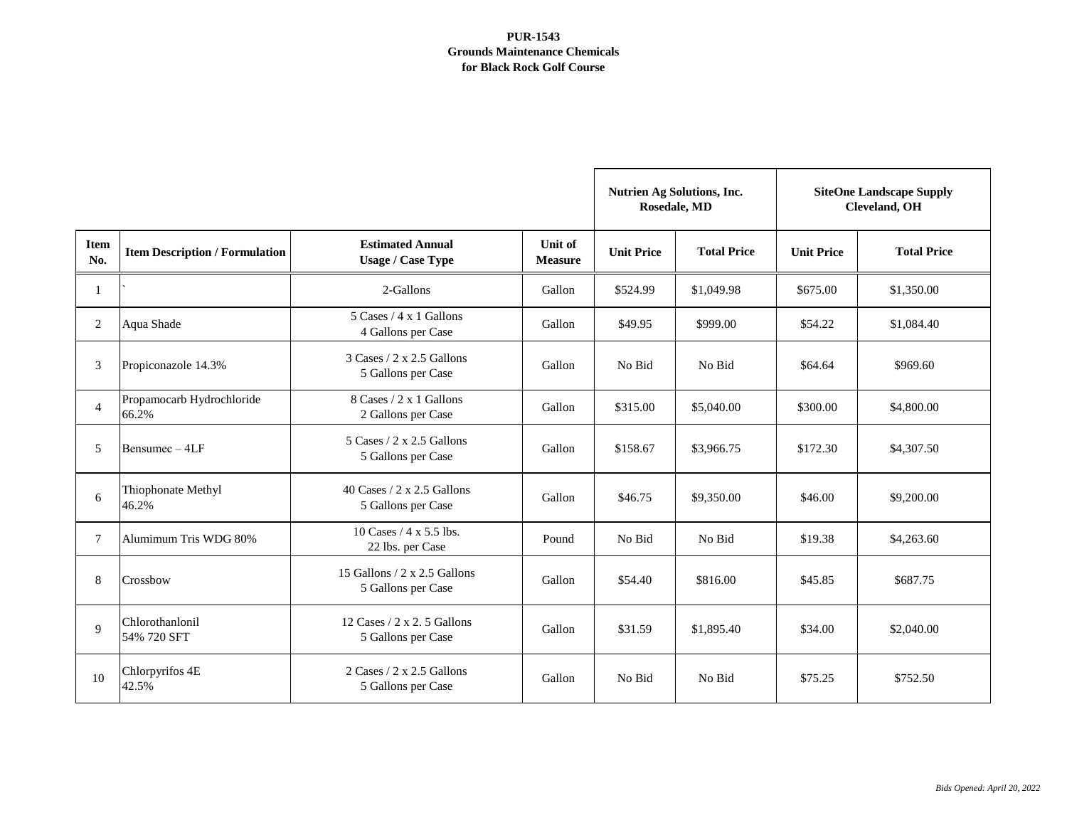|                    |                                       |                                                                          |                                  | <b>Nutrien Ag Solutions, Inc.</b><br>Rosedale, MD |                    | <b>SiteOne Landscape Supply</b><br><b>Cleveland</b> , OH |                    |
|--------------------|---------------------------------------|--------------------------------------------------------------------------|----------------------------------|---------------------------------------------------|--------------------|----------------------------------------------------------|--------------------|
| <b>Item</b><br>No. | <b>Item Description / Formulation</b> | <b>Estimated Annual</b><br><b>Usage / Case Type</b>                      | <b>Unit of</b><br><b>Measure</b> | <b>Unit Price</b>                                 | <b>Total Price</b> | <b>Unit Price</b>                                        | <b>Total Price</b> |
| $\mathbf{1}$       |                                       | 2-Gallons                                                                | Gallon                           | \$524.99                                          | \$1,049.98         | \$675.00                                                 | \$1,350.00         |
| 2                  | Aqua Shade                            | $5 \text{ Cases} / 4 \text{ x } 1 \text{ Gallons}$<br>4 Gallons per Case | Gallon                           | \$49.95                                           | \$999.00           | \$54.22                                                  | \$1,084.40         |
| 3                  | Propiconazole 14.3%                   | $3 \text{ Cases} / 2 \times 2.5 \text{ Gallons}$<br>5 Gallons per Case   | Gallon                           | No Bid                                            | No Bid             | \$64.64                                                  | \$969.60           |
| $\overline{4}$     | Propamocarb Hydrochloride<br>66.2%    | 8 Cases / 2 x 1 Gallons<br>2 Gallons per Case                            | Gallon                           | \$315.00                                          | \$5,040.00         | \$300.00                                                 | \$4,800.00         |
| 5                  | Bensumec - 4LF                        | $5 \text{ Cases} / 2 \times 2.5 \text{ Gallons}$<br>5 Gallons per Case   | Gallon                           | \$158.67                                          | \$3,966.75         | \$172.30                                                 | \$4,307.50         |
| 6                  | Thiophonate Methyl<br>46.2%           | 40 Cases $/ 2$ x 2.5 Gallons<br>5 Gallons per Case                       | Gallon                           | \$46.75                                           | \$9,350.00         | \$46.00                                                  | \$9,200.00         |
| $\tau$             | Alumimum Tris WDG 80%                 | 10 Cases $/$ 4 x 5.5 lbs.<br>22 lbs. per Case                            | Pound                            | No Bid                                            | No Bid             | \$19.38                                                  | \$4,263.60         |
| 8                  | Crossbow                              | 15 Gallons $/$ 2 x 2.5 Gallons<br>5 Gallons per Case                     | Gallon                           | \$54.40                                           | \$816.00           | \$45.85                                                  | \$687.75           |
| 9                  | Chlorothanlonil<br>54% 720 SFT        | 12 Cases $/ 2$ x 2.5 Gallons<br>5 Gallons per Case                       | Gallon                           | \$31.59                                           | \$1,895.40         | \$34.00                                                  | \$2,040.00         |
| 10                 | Chlorpyrifos 4E<br>42.5%              | $2$ Cases / $2 \times 2.5$ Gallons<br>5 Gallons per Case                 | Gallon                           | No Bid                                            | No Bid             | \$75.25                                                  | \$752.50           |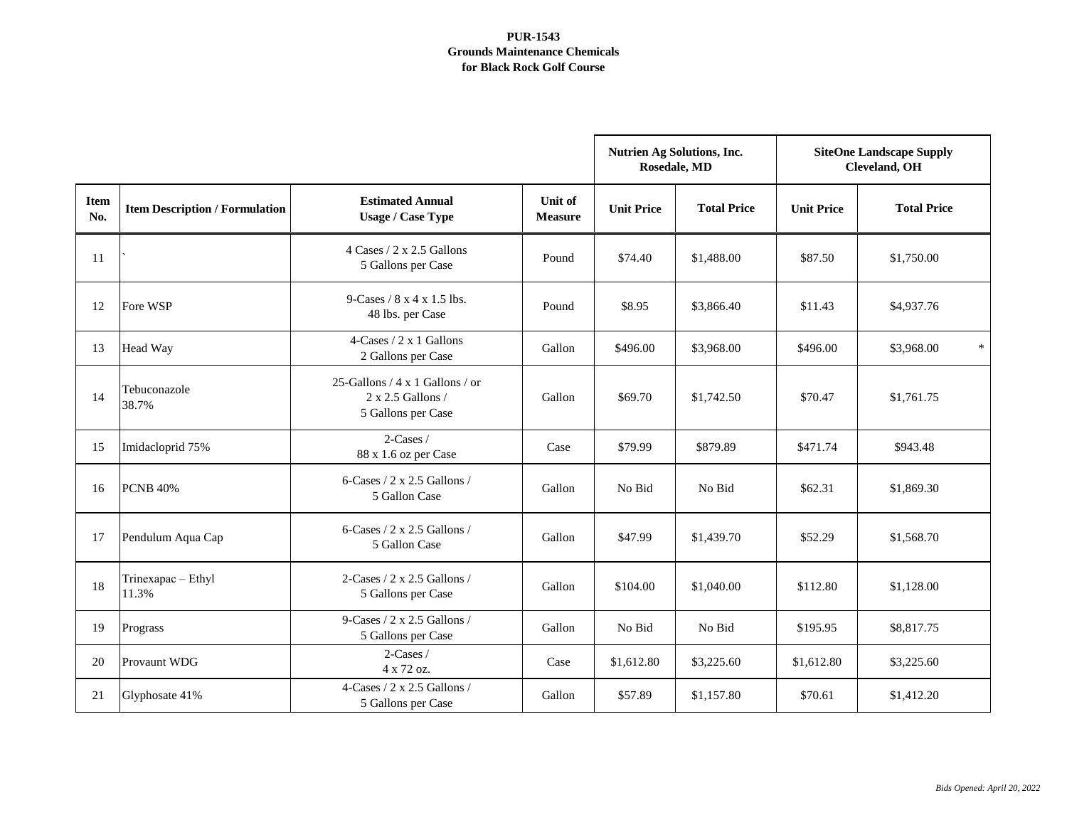|                    |                                       |                                                                                   |                                  | <b>Nutrien Ag Solutions, Inc.</b><br>Rosedale, MD |                    | <b>SiteOne Landscape Supply</b><br>Cleveland, OH |                      |
|--------------------|---------------------------------------|-----------------------------------------------------------------------------------|----------------------------------|---------------------------------------------------|--------------------|--------------------------------------------------|----------------------|
| <b>Item</b><br>No. | <b>Item Description / Formulation</b> | <b>Estimated Annual</b><br><b>Usage / Case Type</b>                               | <b>Unit of</b><br><b>Measure</b> | <b>Unit Price</b>                                 | <b>Total Price</b> | <b>Unit Price</b>                                | <b>Total Price</b>   |
| 11                 |                                       | $4 \text{ Cases} / 2 \times 2.5 \text{ Gallons}$<br>5 Gallons per Case            | Pound                            | \$74.40                                           | \$1,488.00         | \$87.50                                          | \$1,750.00           |
| 12                 | Fore WSP                              | 9-Cases / $8 \times 4 \times 1.5$ lbs.<br>48 lbs. per Case                        | Pound                            | \$8.95                                            | \$3,866.40         | \$11.43                                          | \$4,937.76           |
| 13                 | Head Way                              | $4$ -Cases / 2 x 1 Gallons<br>2 Gallons per Case                                  | Gallon                           | \$496.00                                          | \$3,968.00         | \$496.00                                         | $\ast$<br>\$3,968.00 |
| 14                 | Tebuconazole<br>38.7%                 | 25-Gallons / $4 \times 1$ Gallons / or<br>2 x 2.5 Gallons /<br>5 Gallons per Case | Gallon                           | \$69.70                                           | \$1,742.50         | \$70.47                                          | \$1,761.75           |
| 15                 | Imidacloprid 75%                      | $2$ -Cases /<br>88 x 1.6 oz per Case                                              | Case                             | \$79.99                                           | \$879.89           | \$471.74                                         | \$943.48             |
| 16                 | <b>PCNB 40%</b>                       | 6-Cases / $2 \times 2.5$ Gallons /<br>5 Gallon Case                               | Gallon                           | No Bid                                            | No Bid             | \$62.31                                          | \$1,869.30           |
| 17                 | Pendulum Aqua Cap                     | 6-Cases / $2 \times 2.5$ Gallons /<br>5 Gallon Case                               | Gallon                           | \$47.99                                           | \$1,439.70         | \$52.29                                          | \$1,568.70           |
| 18                 | Trinexapac - Ethyl<br>11.3%           | 2-Cases / 2 x 2.5 Gallons /<br>5 Gallons per Case                                 | Gallon                           | \$104.00                                          | \$1,040.00         | \$112.80                                         | \$1,128.00           |
| 19                 | Prograss                              | 9-Cases / $2 \times 2.5$ Gallons /<br>5 Gallons per Case                          | Gallon                           | No Bid                                            | No Bid             | \$195.95                                         | \$8,817.75           |
| 20                 | <b>Provaunt WDG</b>                   | 2-Cases /<br>4 x 72 oz.                                                           | Case                             | \$1,612.80                                        | \$3,225.60         | \$1,612.80                                       | \$3,225.60           |
| 21                 | Glyphosate 41%                        | 4-Cases / 2 x 2.5 Gallons /<br>5 Gallons per Case                                 | Gallon                           | \$57.89                                           | \$1,157.80         | \$70.61                                          | \$1,412.20           |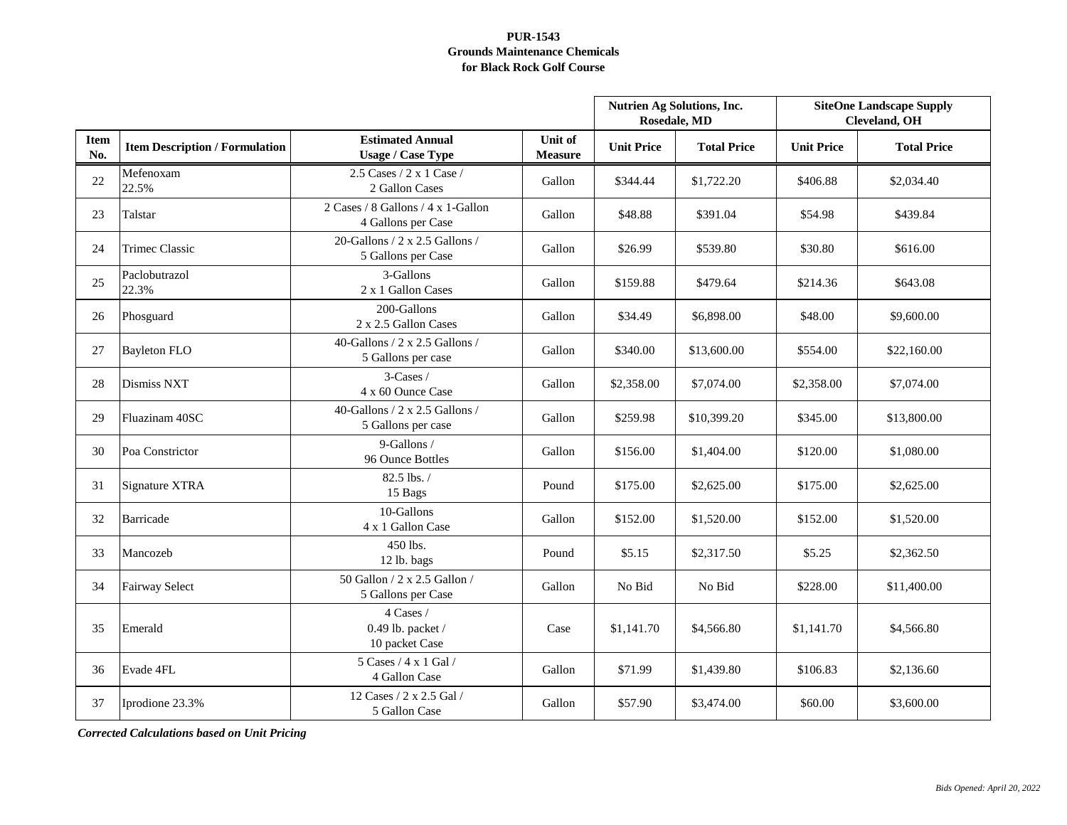|                    |                                       |                                                             |                           | <b>Nutrien Ag Solutions, Inc.</b><br>Rosedale, MD |                    | <b>SiteOne Landscape Supply</b><br><b>Cleveland, OH</b> |                    |
|--------------------|---------------------------------------|-------------------------------------------------------------|---------------------------|---------------------------------------------------|--------------------|---------------------------------------------------------|--------------------|
| <b>Item</b><br>No. | <b>Item Description / Formulation</b> | <b>Estimated Annual</b><br><b>Usage / Case Type</b>         | Unit of<br><b>Measure</b> | <b>Unit Price</b>                                 | <b>Total Price</b> | <b>Unit Price</b>                                       | <b>Total Price</b> |
| 22                 | Mefenoxam<br>22.5%                    | 2.5 Cases $/$ 2 x 1 Case $/$<br>2 Gallon Cases              | Gallon                    | \$344.44                                          | \$1,722.20         | \$406.88                                                | \$2,034.40         |
| 23                 | Talstar                               | 2 Cases / 8 Gallons / 4 x 1-Gallon<br>4 Gallons per Case    | Gallon                    | \$48.88                                           | \$391.04           | \$54.98                                                 | \$439.84           |
| 24                 | <b>Trimec Classic</b>                 | 20-Gallons / 2 x 2.5 Gallons /<br>5 Gallons per Case        | Gallon                    | \$26.99                                           | \$539.80           | \$30.80                                                 | \$616.00           |
| 25                 | Paclobutrazol<br>22.3%                | 3-Gallons<br>2 x 1 Gallon Cases                             | Gallon                    | \$159.88                                          | \$479.64           | \$214.36                                                | \$643.08           |
| 26                 | Phosguard                             | 200-Gallons<br>2 x 2.5 Gallon Cases                         | Gallon                    | \$34.49                                           | \$6,898.00         | \$48.00                                                 | \$9,600.00         |
| 27                 | <b>Bayleton FLO</b>                   | 40-Gallons / $2 \times 2.5$ Gallons /<br>5 Gallons per case | Gallon                    | \$340.00                                          | \$13,600.00        | \$554.00                                                | \$22,160.00        |
| 28                 | <b>Dismiss NXT</b>                    | 3-Cases /<br>4 x 60 Ounce Case                              | Gallon                    | \$2,358.00                                        | \$7,074.00         | \$2,358.00                                              | \$7,074.00         |
| 29                 | Fluazinam 40SC                        | 40-Gallons / $2 \times 2.5$ Gallons /<br>5 Gallons per case | Gallon                    | \$259.98                                          | \$10,399.20        | \$345.00                                                | \$13,800.00        |
| 30                 | Poa Constrictor                       | 9-Gallons /<br>96 Ounce Bottles                             | Gallon                    | \$156.00                                          | \$1,404.00         | \$120.00                                                | \$1,080.00         |
| 31                 | Signature XTRA                        | 82.5 lbs./<br>15 Bags                                       | Pound                     | \$175.00                                          | \$2,625.00         | \$175.00                                                | \$2,625.00         |
| 32                 | <b>Barricade</b>                      | 10-Gallons<br>4 x 1 Gallon Case                             | Gallon                    | \$152.00                                          | \$1,520.00         | \$152.00                                                | \$1,520.00         |
| 33                 | Mancozeb                              | 450 lbs.<br>12 lb. bags                                     | Pound                     | \$5.15                                            | \$2,317.50         | \$5.25                                                  | \$2,362.50         |
| 34                 | <b>Fairway Select</b>                 | 50 Gallon / 2 x 2.5 Gallon /<br>5 Gallons per Case          | Gallon                    | No Bid                                            | No Bid             | \$228.00                                                | \$11,400.00        |
| 35                 | Emerald                               | 4 Cases /<br>0.49 lb. packet $/$<br>10 packet Case          | Case                      | \$1,141.70                                        | \$4,566.80         | \$1,141.70                                              | \$4,566.80         |
| 36                 | Evade 4FL                             | 5 Cases / 4 x 1 Gal /<br>4 Gallon Case                      | Gallon                    | \$71.99                                           | \$1,439.80         | \$106.83                                                | \$2,136.60         |
| 37                 | Iprodione 23.3%                       | 12 Cases / 2 x 2.5 Gal /<br>5 Gallon Case                   | Gallon                    | \$57.90                                           | \$3,474.00         | \$60.00                                                 | \$3,600.00         |

*Corrected Calculations based on Unit Pricing*